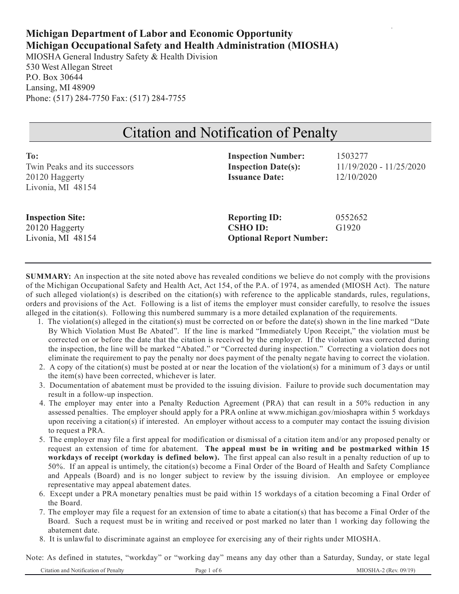# **Michigan Department of Labor and Economic Opportunity Michigan Occupational Safety and Health Administration (MIOSHA)**

MIOSHA General Industry Safety & Health Division 530 West Allegan Street P.O. Box 30644 Lansing, MI 48909 Phone: (517) 284-7750 Fax: (517) 284-7755

# Citation and Notification of Penalty

| To:                           | <b>Inspection Number:</b>      | 1503277                 |
|-------------------------------|--------------------------------|-------------------------|
| Twin Peaks and its successors | <b>Inspection Date(s):</b>     | 11/19/2020 - 11/25/2020 |
| 20120 Haggerty                | <b>Issuance Date:</b>          | 12/10/2020              |
| Livonia, MI 48154             |                                |                         |
|                               |                                |                         |
| <b>Inspection Site:</b>       | <b>Reporting ID:</b>           | 0552652                 |
| 20120 Haggerty                | <b>CSHO ID:</b>                | G1920                   |
| Livonia, MI 48154             | <b>Optional Report Number:</b> |                         |
|                               |                                |                         |

**SUMMARY:** An inspection at the site noted above has revealed conditions we believe do not comply with the provisions of the Michigan Occupational Safety and Health Act, Act 154, of the P.A. of 1974, as amended (MIOSH Act). The nature of such alleged violation(s) is described on the citation(s) with reference to the applicable standards, rules, regulations, orders and provisions of the Act. Following is a list of items the employer must consider carefully, to resolve the issues alleged in the citation(s). Following this numbered summary is a more detailed explanation of the requirements.

- 1. The violation(s) alleged in the citation(s) must be corrected on or before the date(s) shown in the line marked "Date By Which Violation Must Be Abated". If the line is marked "Immediately Upon Receipt," the violation must be corrected on or before the date that the citation is received by the employer. If the violation was corrected during the inspection, the line will be marked "Abated." or "Corrected during inspection." Correcting a violation does not eliminate the requirement to pay the penalty nor does payment of the penalty negate having to correct the violation.
- 2. A copy of the citation(s) must be posted at or near the location of the violation(s) for a minimum of 3 days or until the item(s) have been corrected, whichever is later.
- 3. Documentation of abatement must be provided to the issuing division. Failure to provide such documentation may result in a follow-up inspection.
- 4. The employer may enter into a Penalty Reduction Agreement (PRA) that can result in a 50% reduction in any assessed penalties. The employer should apply for a PRA online at www.michigan.gov/mioshapra within 5 workdays upon receiving a citation(s) if interested. An employer without access to a computer may contact the issuing division to request a PRA.
- 5. The employer may file a first appeal for modification or dismissal of a citation item and/or any proposed penalty or request an extension of time for abatement. **The appeal must be in writing and be postmarked within 15 workdays of receipt (workday is defined below).** The first appeal can also result in a penalty reduction of up to 50%. If an appeal is untimely, the citation(s) become a Final Order of the Board of Health and Safety Compliance and Appeals (Board) and is no longer subject to review by the issuing division. An employee or employee representative may appeal abatement dates.
- 6. Except under a PRA monetary penalties must be paid within 15 workdays of a citation becoming a Final Order of the Board.
- 7. The employer may file a request for an extension of time to abate a citation(s) that has become a Final Order of the Board. Such a request must be in writing and received or post marked no later than 1 working day following the abatement date.
- 8. It is unlawful to discriminate against an employee for exercising any of their rights under MIOSHA.

Note: As defined in statutes, "workday" or "working day" means any day other than a Saturday, Sunday, or state legal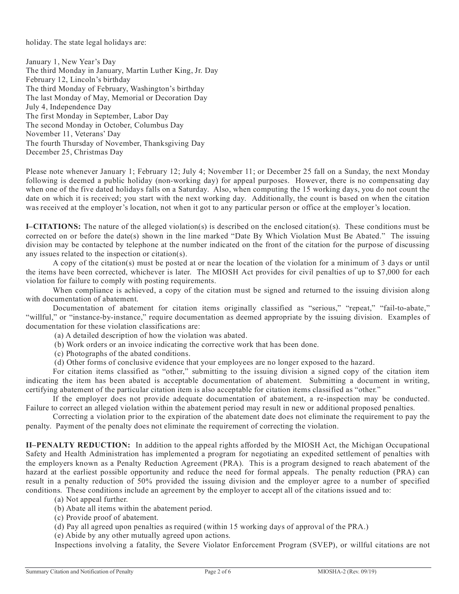holiday. The state legal holidays are:

January 1, New Year's Day The third Monday in January, Martin Luther King, Jr. Day February 12, Lincoln's birthday The third Monday of February, Washington's birthday The last Monday of May, Memorial or Decoration Day July 4, Independence Day The first Monday in September, Labor Day The second Monday in October, Columbus Day November 11, Veterans' Day The fourth Thursday of November, Thanksgiving Day December 25, Christmas Day

Please note whenever January 1; February 12; July 4; November 11; or December 25 fall on a Sunday, the next Monday following is deemed a public holiday (non-working day) for appeal purposes. However, there is no compensating day when one of the five dated holidays falls on a Saturday. Also, when computing the 15 working days, you do not count the date on which it is received; you start with the next working day. Additionally, the count is based on when the citation was received at the employer's location, not when it got to any particular person or office at the employer's location.

**I–CITATIONS:** The nature of the alleged violation(s) is described on the enclosed citation(s). These conditions must be corrected on or before the date(s) shown in the line marked "Date By Which Violation Must Be Abated." The issuing division may be contacted by telephone at the number indicated on the front of the citation for the purpose of discussing any issues related to the inspection or citation(s).

A copy of the citation(s) must be posted at or near the location of the violation for a minimum of 3 days or until the items have been corrected, whichever is later. The MIOSH Act provides for civil penalties of up to \$7,000 for each violation for failure to comply with posting requirements.

When compliance is achieved, a copy of the citation must be signed and returned to the issuing division along with documentation of abatement.

Documentation of abatement for citation items originally classified as "serious," "repeat," "fail-to-abate," "willful," or "instance-by-instance," require documentation as deemed appropriate by the issuing division. Examples of documentation for these violation classifications are:

(a) A detailed description of how the violation was abated.

- (b) Work orders or an invoice indicating the corrective work that has been done.
- (c) Photographs of the abated conditions.
- (d) Other forms of conclusive evidence that your employees are no longer exposed to the hazard.

For citation items classified as "other," submitting to the issuing division a signed copy of the citation item indicating the item has been abated is acceptable documentation of abatement. Submitting a document in writing, certifying abatement of the particular citation item is also acceptable for citation items classified as "other."

If the employer does not provide adequate documentation of abatement, a re-inspection may be conducted. Failure to correct an alleged violation within the abatement period may result in new or additional proposed penalties.

Correcting a violation prior to the expiration of the abatement date does not eliminate the requirement to pay the penalty. Payment of the penalty does not eliminate the requirement of correcting the violation.

**II–PENALTY REDUCTION:** In addition to the appeal rights afforded by the MIOSH Act, the Michigan Occupational Safety and Health Administration has implemented a program for negotiating an expedited settlement of penalties with the employers known as a Penalty Reduction Agreement (PRA). This is a program designed to reach abatement of the hazard at the earliest possible opportunity and reduce the need for formal appeals. The penalty reduction (PRA) can result in a penalty reduction of 50% provided the issuing division and the employer agree to a number of specified conditions. These conditions include an agreement by the employer to accept all of the citations issued and to:

- (a) Not appeal further.
- (b) Abate all items within the abatement period.
- (c) Provide proof of abatement.
- (d) Pay all agreed upon penalties as required (within 15 working days of approval of the PRA.)

(e) Abide by any other mutually agreed upon actions.

Inspections involving a fatality, the Severe Violator Enforcement Program (SVEP), or willful citations are not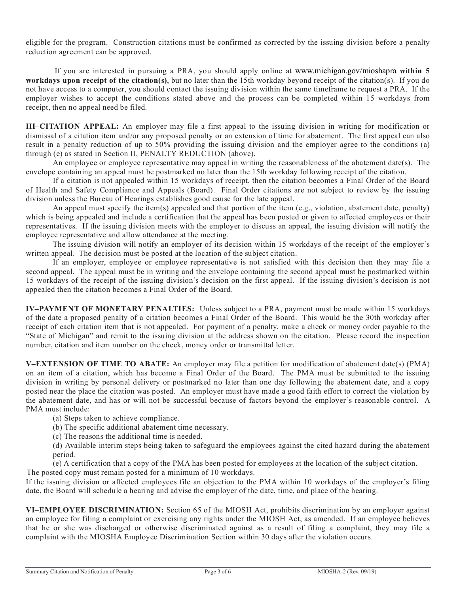eligible for the program. Construction citations must be confirmed as corrected by the issuing division before a penalty reduction agreement can be approved.

If you are interested in pursuing a PRA, you should apply online at www.michigan.gov/mioshapra **within 5 workdays upon receipt of the citation(s)**, but no later than the 15th workday beyond receipt of the citation(s). If you do not have access to a computer, you should contact the issuing division within the same timeframe to request a PRA. If the employer wishes to accept the conditions stated above and the process can be completed within 15 workdays from receipt, then no appeal need be filed.

**III–CITATION APPEAL:** An employer may file a first appeal to the issuing division in writing for modification or dismissal of a citation item and/or any proposed penalty or an extension of time for abatement. The first appeal can also result in a penalty reduction of up to 50% providing the issuing division and the employer agree to the conditions (a) through (e) as stated in Section II, PENALTY REDUCTION (above).

An employee or employee representative may appeal in writing the reasonableness of the abatement date(s). The envelope containing an appeal must be postmarked no later than the 15th workday following receipt of the citation.

If a citation is not appealed within 15 workdays of receipt, then the citation becomes a Final Order of the Board of Health and Safety Compliance and Appeals (Board). Final Order citations are not subject to review by the issuing division unless the Bureau of Hearings establishes good cause for the late appeal.

An appeal must specify the item(s) appealed and that portion of the item (e.g., violation, abatement date, penalty) which is being appealed and include a certification that the appeal has been posted or given to affected employees or their representatives. If the issuing division meets with the employer to discuss an appeal, the issuing division will notify the employee representative and allow attendance at the meeting.

The issuing division will notify an employer of its decision within 15 workdays of the receipt of the employer's written appeal. The decision must be posted at the location of the subject citation.

If an employer, employee or employee representative is not satisfied with this decision then they may file a second appeal. The appeal must be in writing and the envelope containing the second appeal must be postmarked within 15 workdays of the receipt of the issuing division's decision on the first appeal. If the issuing division's decision is not appealed then the citation becomes a Final Order of the Board.

**IV–PAYMENT OF MONETARY PENALTIES:** Unless subject to a PRA, payment must be made within 15 workdays of the date a proposed penalty of a citation becomes a Final Order of the Board. This would be the 30th workday after receipt of each citation item that is not appealed. For payment of a penalty, make a check or money order payable to the "State of Michigan" and remit to the issuing division at the address shown on the citation. Please record the inspection number, citation and item number on the check, money order or transmittal letter.

**V–EXTENSION OF TIME TO ABATE:** An employer may file a petition for modification of abatement date(s) (PMA) on an item of a citation, which has become a Final Order of the Board. The PMA must be submitted to the issuing division in writing by personal delivery or postmarked no later than one day following the abatement date, and a copy posted near the place the citation was posted. An employer must have made a good faith effort to correct the violation by the abatement date, and has or will not be successful because of factors beyond the employer's reasonable control. A PMA must include:

(a) Steps taken to achieve compliance.

(b) The specific additional abatement time necessary.

(c) The reasons the additional time is needed.

(d) Available interim steps being taken to safeguard the employees against the cited hazard during the abatement period.

(e) A certification that a copy of the PMA has been posted for employees at the location of the subject citation.

The posted copy must remain posted for a minimum of 10 workdays.

If the issuing division or affected employees file an objection to the PMA within 10 workdays of the employer's filing date, the Board will schedule a hearing and advise the employer of the date, time, and place of the hearing.

**VI–EMPLOYEE DISCRIMINATION:** Section 65 of the MIOSH Act, prohibits discrimination by an employer against an employee for filing a complaint or exercising any rights under the MIOSH Act, as amended. If an employee believes that he or she was discharged or otherwise discriminated against as a result of filing a complaint, they may file a complaint with the MIOSHA Employee Discrimination Section within 30 days after the violation occurs.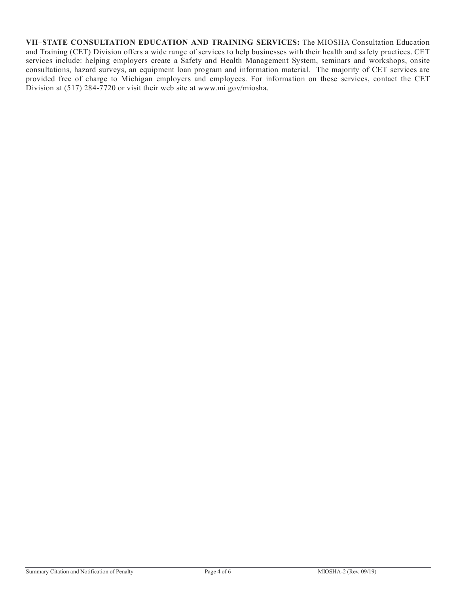**VII–STATE CONSULTATION EDUCATION AND TRAINING SERVICES:** The MIOSHA Consultation Education and Training (CET) Division offers a wide range of services to help businesses with their health and safety practices. CET services include: helping employers create a Safety and Health Management System, seminars and workshops, onsite consultations, hazard surveys, an equipment loan program and information material. The majority of CET services are provided free of charge to Michigan employers and employees. For information on these services, contact the CET Division at (517) 284-7720 or visit their web site at www.mi.gov/miosha.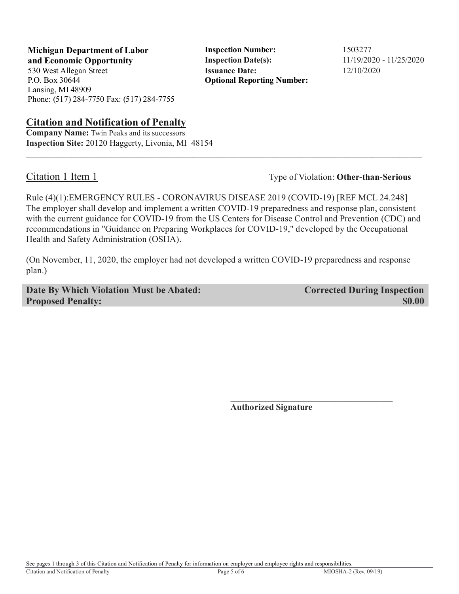**Michigan Department of Labor 5 1503277** Inspection Number: 1503277 **and Economic Opportunity Inspection Date(s):**  $11/19/2020 - 11/25/2020$ 530 West Allegan Street **Issuance Date:** 12/10/2020

P.O. Box 30644 Lansing, MI 48909 Phone: (517) 284-7750 Fax: (517) 284-7755

## **Citation and Notification of Penalty**

**Company Name:** Twin Peaks and its successors **Inspection Site:** 20120 Haggerty, Livonia, MI 48154

**Optional Reporting Number:** 

Citation 1 Item 1 Type of Violation: **Other-than-Serious** 

Rule (4)(1):EMERGENCY RULES - CORONAVIRUS DISEASE 2019 (COVID-19) [REF MCL 24.248] The employer shall develop and implement a written COVID-19 preparedness and response plan, consistent with the current guidance for COVID-19 from the US Centers for Disease Control and Prevention (CDC) and recommendations in "Guidance on Preparing Workplaces for COVID-19," developed by the Occupational Health and Safety Administration (OSHA).

 $\_$  ,  $\_$  ,  $\_$  ,  $\_$  ,  $\_$  ,  $\_$  ,  $\_$  ,  $\_$  ,  $\_$  ,  $\_$  ,  $\_$  ,  $\_$  ,  $\_$  ,  $\_$  ,  $\_$  ,  $\_$  ,  $\_$  ,  $\_$  ,  $\_$  ,  $\_$  ,  $\_$  ,  $\_$  ,  $\_$  ,  $\_$  ,  $\_$  ,  $\_$  ,  $\_$  ,  $\_$  ,  $\_$  ,  $\_$  ,  $\_$  ,  $\_$  ,  $\_$  ,  $\_$  ,  $\_$  ,  $\_$  ,  $\_$  ,

(On November, 11, 2020, the employer had not developed a written COVID-19 preparedness and response plan.)

**Date By Which Violation Must be Abated: Corrected During Inspection Proposed Penalty:** \$0.00

**Authorized Signature**